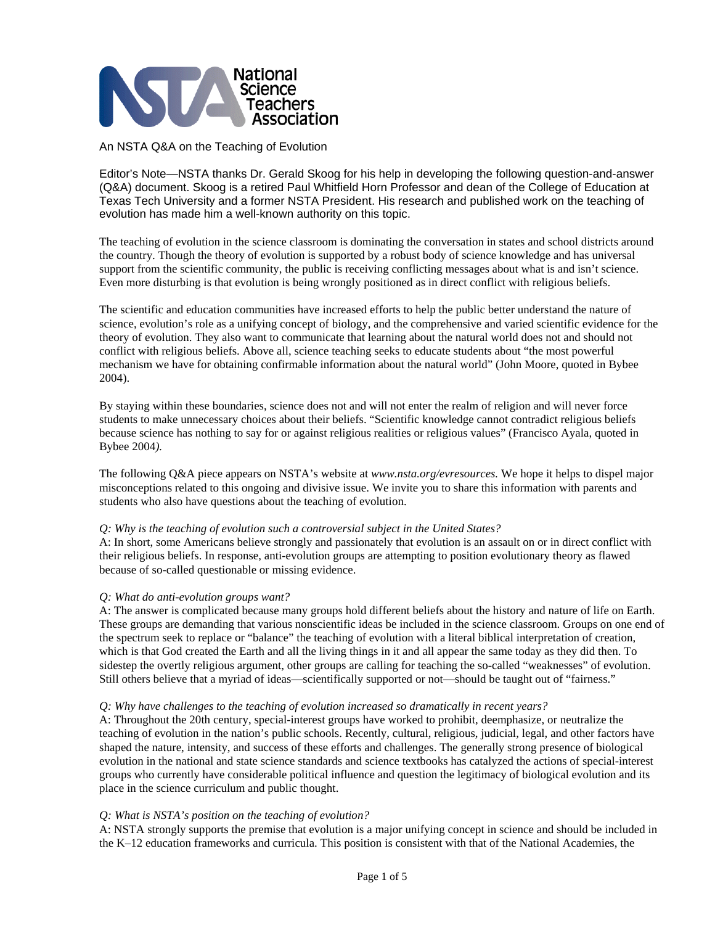

An NSTA Q&A on the Teaching of Evolution

Editor's Note—NSTA thanks Dr. Gerald Skoog for his help in developing the following question-and-answer (Q&A) document. Skoog is a retired Paul Whitfield Horn Professor and dean of the College of Education at Texas Tech University and a former NSTA President. His research and published work on the teaching of evolution has made him a well-known authority on this topic.

The teaching of evolution in the science classroom is dominating the conversation in states and school districts around the country. Though the theory of evolution is supported by a robust body of science knowledge and has universal support from the scientific community, the public is receiving conflicting messages about what is and isn't science. Even more disturbing is that evolution is being wrongly positioned as in direct conflict with religious beliefs.

The scientific and education communities have increased efforts to help the public better understand the nature of science, evolution's role as a unifying concept of biology, and the comprehensive and varied scientific evidence for the theory of evolution. They also want to communicate that learning about the natural world does not and should not conflict with religious beliefs. Above all, science teaching seeks to educate students about "the most powerful mechanism we have for obtaining confirmable information about the natural world" (John Moore, quoted in Bybee 2004).

By staying within these boundaries, science does not and will not enter the realm of religion and will never force students to make unnecessary choices about their beliefs. "Scientific knowledge cannot contradict religious beliefs because science has nothing to say for or against religious realities or religious values" (Francisco Ayala, quoted in Bybee 2004*).* 

The following Q&A piece appears on NSTA's website at *www.nsta.org/evresources.* We hope it helps to dispel major misconceptions related to this ongoing and divisive issue. We invite you to share this information with parents and students who also have questions about the teaching of evolution.

#### *Q: Why is the teaching of evolution such a controversial subject in the United States?*

A: In short, some Americans believe strongly and passionately that evolution is an assault on or in direct conflict with their religious beliefs. In response, anti-evolution groups are attempting to position evolutionary theory as flawed because of so-called questionable or missing evidence.

#### *Q: What do anti-evolution groups want?*

A: The answer is complicated because many groups hold different beliefs about the history and nature of life on Earth. These groups are demanding that various nonscientific ideas be included in the science classroom. Groups on one end of the spectrum seek to replace or "balance" the teaching of evolution with a literal biblical interpretation of creation, which is that God created the Earth and all the living things in it and all appear the same today as they did then. To sidestep the overtly religious argument, other groups are calling for teaching the so-called "weaknesses" of evolution. Still others believe that a myriad of ideas—scientifically supported or not—should be taught out of "fairness."

### *Q: Why have challenges to the teaching of evolution increased so dramatically in recent years?*

A: Throughout the 20th century, special-interest groups have worked to prohibit, deemphasize, or neutralize the teaching of evolution in the nation's public schools. Recently, cultural, religious, judicial, legal, and other factors have shaped the nature, intensity, and success of these efforts and challenges. The generally strong presence of biological evolution in the national and state science standards and science textbooks has catalyzed the actions of special-interest groups who currently have considerable political influence and question the legitimacy of biological evolution and its place in the science curriculum and public thought.

# *Q: What is NSTA's position on the teaching of evolution?*

A: NSTA strongly supports the premise that evolution is a major unifying concept in science and should be included in the K–12 education frameworks and curricula. This position is consistent with that of the National Academies, the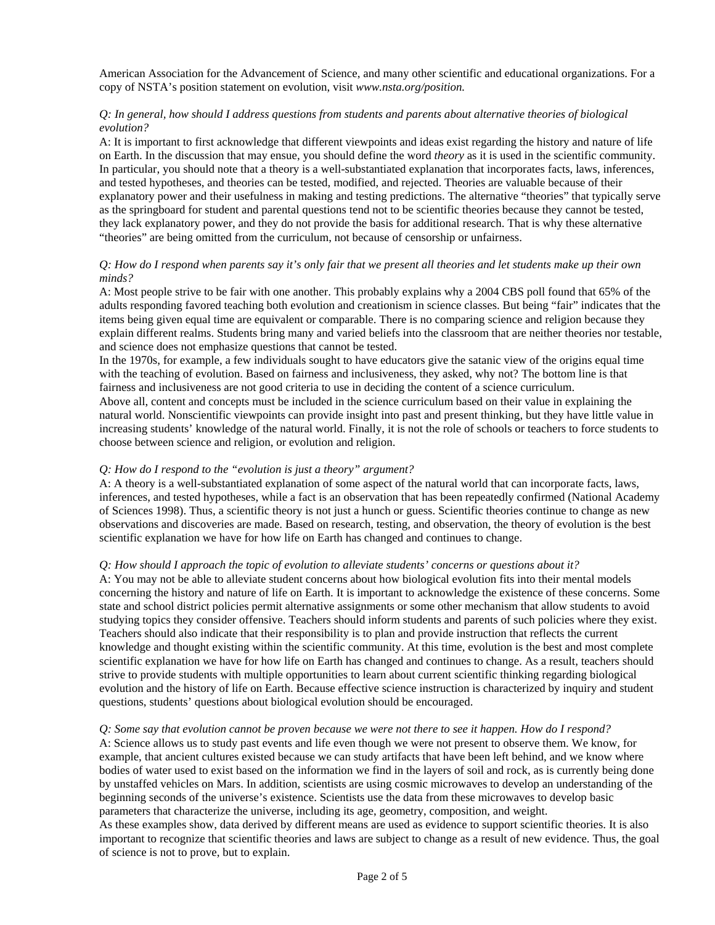American Association for the Advancement of Science, and many other scientific and educational organizations. For a copy of NSTA's position statement on evolution, visit *www.nsta.org/position.* 

# *Q: In general, how should I address questions from students and parents about alternative theories of biological evolution?*

A: It is important to first acknowledge that different viewpoints and ideas exist regarding the history and nature of life on Earth. In the discussion that may ensue, you should define the word *theory* as it is used in the scientific community. In particular, you should note that a theory is a well-substantiated explanation that incorporates facts, laws, inferences, and tested hypotheses, and theories can be tested, modified, and rejected. Theories are valuable because of their explanatory power and their usefulness in making and testing predictions. The alternative "theories" that typically serve as the springboard for student and parental questions tend not to be scientific theories because they cannot be tested, they lack explanatory power, and they do not provide the basis for additional research. That is why these alternative "theories" are being omitted from the curriculum, not because of censorship or unfairness.

### *Q: How do I respond when parents say it's only fair that we present all theories and let students make up their own minds?*

A: Most people strive to be fair with one another. This probably explains why a 2004 CBS poll found that 65% of the adults responding favored teaching both evolution and creationism in science classes. But being "fair" indicates that the items being given equal time are equivalent or comparable. There is no comparing science and religion because they explain different realms. Students bring many and varied beliefs into the classroom that are neither theories nor testable, and science does not emphasize questions that cannot be tested.

In the 1970s, for example, a few individuals sought to have educators give the satanic view of the origins equal time with the teaching of evolution. Based on fairness and inclusiveness, they asked, why not? The bottom line is that fairness and inclusiveness are not good criteria to use in deciding the content of a science curriculum.

Above all, content and concepts must be included in the science curriculum based on their value in explaining the natural world. Nonscientific viewpoints can provide insight into past and present thinking, but they have little value in increasing students' knowledge of the natural world. Finally, it is not the role of schools or teachers to force students to choose between science and religion, or evolution and religion.

# *Q: How do I respond to the "evolution is just a theory" argument?*

A: A theory is a well-substantiated explanation of some aspect of the natural world that can incorporate facts, laws, inferences, and tested hypotheses, while a fact is an observation that has been repeatedly confirmed (National Academy of Sciences 1998). Thus, a scientific theory is not just a hunch or guess. Scientific theories continue to change as new observations and discoveries are made. Based on research, testing, and observation, the theory of evolution is the best scientific explanation we have for how life on Earth has changed and continues to change.

# *Q: How should I approach the topic of evolution to alleviate students' concerns or questions about it?*

A: You may not be able to alleviate student concerns about how biological evolution fits into their mental models concerning the history and nature of life on Earth. It is important to acknowledge the existence of these concerns. Some state and school district policies permit alternative assignments or some other mechanism that allow students to avoid studying topics they consider offensive. Teachers should inform students and parents of such policies where they exist. Teachers should also indicate that their responsibility is to plan and provide instruction that reflects the current knowledge and thought existing within the scientific community. At this time, evolution is the best and most complete scientific explanation we have for how life on Earth has changed and continues to change. As a result, teachers should strive to provide students with multiple opportunities to learn about current scientific thinking regarding biological evolution and the history of life on Earth. Because effective science instruction is characterized by inquiry and student questions, students' questions about biological evolution should be encouraged.

#### *Q: Some say that evolution cannot be proven because we were not there to see it happen. How do I respond?*

A: Science allows us to study past events and life even though we were not present to observe them. We know, for example, that ancient cultures existed because we can study artifacts that have been left behind, and we know where bodies of water used to exist based on the information we find in the layers of soil and rock, as is currently being done by unstaffed vehicles on Mars. In addition, scientists are using cosmic microwaves to develop an understanding of the beginning seconds of the universe's existence. Scientists use the data from these microwaves to develop basic parameters that characterize the universe, including its age, geometry, composition, and weight.

As these examples show, data derived by different means are used as evidence to support scientific theories. It is also important to recognize that scientific theories and laws are subject to change as a result of new evidence. Thus, the goal of science is not to prove, but to explain.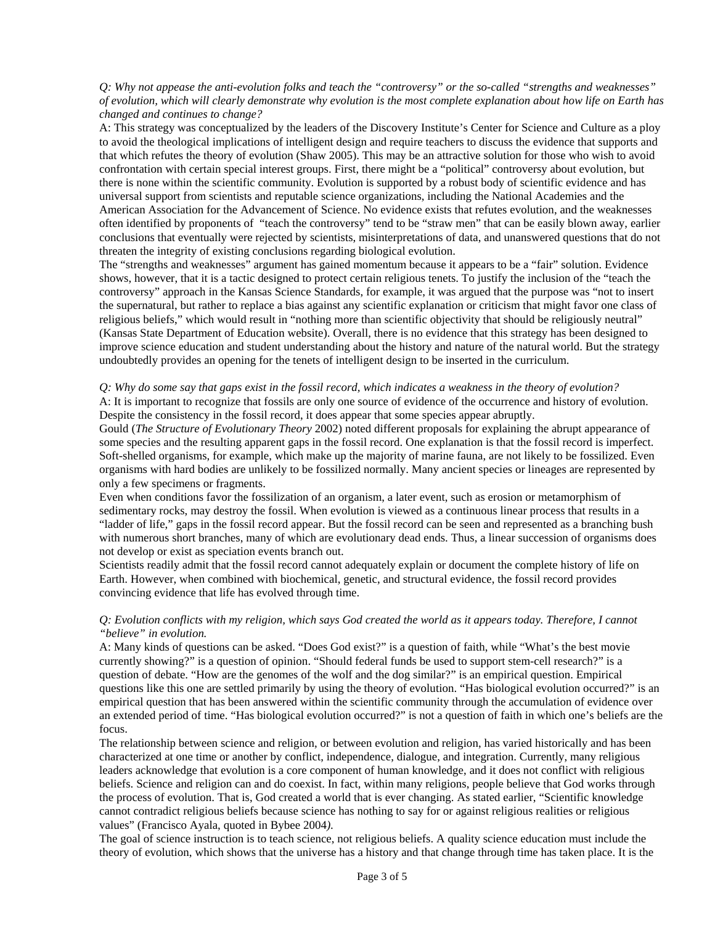*Q: Why not appease the anti-evolution folks and teach the "controversy" or the so-called "strengths and weaknesses" of evolution, which will clearly demonstrate why evolution is the most complete explanation about how life on Earth has changed and continues to change?* 

A: This strategy was conceptualized by the leaders of the Discovery Institute's Center for Science and Culture as a ploy to avoid the theological implications of intelligent design and require teachers to discuss the evidence that supports and that which refutes the theory of evolution (Shaw 2005). This may be an attractive solution for those who wish to avoid confrontation with certain special interest groups. First, there might be a "political" controversy about evolution, but there is none within the scientific community. Evolution is supported by a robust body of scientific evidence and has universal support from scientists and reputable science organizations, including the National Academies and the American Association for the Advancement of Science. No evidence exists that refutes evolution, and the weaknesses often identified by proponents of "teach the controversy" tend to be "straw men" that can be easily blown away, earlier conclusions that eventually were rejected by scientists, misinterpretations of data, and unanswered questions that do not threaten the integrity of existing conclusions regarding biological evolution.

The "strengths and weaknesses" argument has gained momentum because it appears to be a "fair" solution. Evidence shows, however, that it is a tactic designed to protect certain religious tenets. To justify the inclusion of the "teach the controversy" approach in the Kansas Science Standards, for example, it was argued that the purpose was "not to insert the supernatural, but rather to replace a bias against any scientific explanation or criticism that might favor one class of religious beliefs," which would result in "nothing more than scientific objectivity that should be religiously neutral" (Kansas State Department of Education website). Overall, there is no evidence that this strategy has been designed to improve science education and student understanding about the history and nature of the natural world. But the strategy undoubtedly provides an opening for the tenets of intelligent design to be inserted in the curriculum.

### *Q: Why do some say that gaps exist in the fossil record, which indicates a weakness in the theory of evolution?*  A: It is important to recognize that fossils are only one source of evidence of the occurrence and history of evolution. Despite the consistency in the fossil record, it does appear that some species appear abruptly.

Gould (*The Structure of Evolutionary Theory* 2002) noted different proposals for explaining the abrupt appearance of some species and the resulting apparent gaps in the fossil record. One explanation is that the fossil record is imperfect. Soft-shelled organisms, for example, which make up the majority of marine fauna, are not likely to be fossilized. Even organisms with hard bodies are unlikely to be fossilized normally. Many ancient species or lineages are represented by only a few specimens or fragments.

Even when conditions favor the fossilization of an organism, a later event, such as erosion or metamorphism of sedimentary rocks, may destroy the fossil. When evolution is viewed as a continuous linear process that results in a "ladder of life," gaps in the fossil record appear. But the fossil record can be seen and represented as a branching bush with numerous short branches, many of which are evolutionary dead ends. Thus, a linear succession of organisms does not develop or exist as speciation events branch out.

Scientists readily admit that the fossil record cannot adequately explain or document the complete history of life on Earth. However, when combined with biochemical, genetic, and structural evidence, the fossil record provides convincing evidence that life has evolved through time.

# *Q: Evolution conflicts with my religion, which says God created the world as it appears today. Therefore, I cannot "believe" in evolution.*

A: Many kinds of questions can be asked. "Does God exist?" is a question of faith, while "What's the best movie currently showing?" is a question of opinion. "Should federal funds be used to support stem-cell research?" is a question of debate. "How are the genomes of the wolf and the dog similar?" is an empirical question. Empirical questions like this one are settled primarily by using the theory of evolution. "Has biological evolution occurred?" is an empirical question that has been answered within the scientific community through the accumulation of evidence over an extended period of time. "Has biological evolution occurred?" is not a question of faith in which one's beliefs are the focus.

The relationship between science and religion, or between evolution and religion, has varied historically and has been characterized at one time or another by conflict, independence, dialogue, and integration. Currently, many religious leaders acknowledge that evolution is a core component of human knowledge, and it does not conflict with religious beliefs. Science and religion can and do coexist. In fact, within many religions, people believe that God works through the process of evolution. That is, God created a world that is ever changing. As stated earlier, "Scientific knowledge cannot contradict religious beliefs because science has nothing to say for or against religious realities or religious values" (Francisco Ayala, quoted in Bybee 2004*)*.

The goal of science instruction is to teach science, not religious beliefs. A quality science education must include the theory of evolution, which shows that the universe has a history and that change through time has taken place. It is the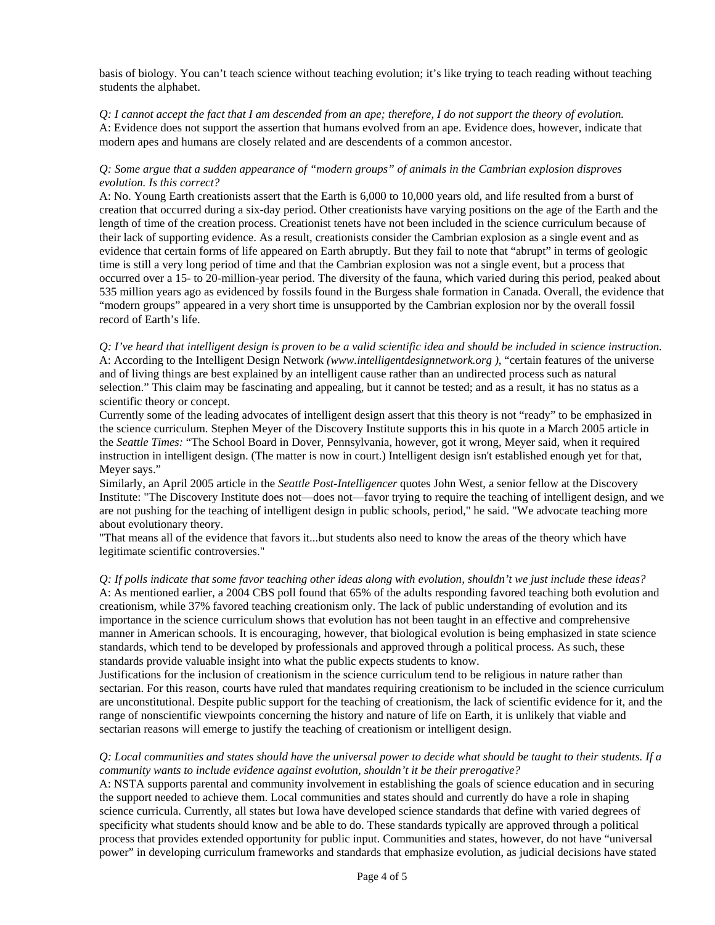basis of biology. You can't teach science without teaching evolution; it's like trying to teach reading without teaching students the alphabet.

*Q: I cannot accept the fact that I am descended from an ape; therefore, I do not support the theory of evolution.*  A: Evidence does not support the assertion that humans evolved from an ape. Evidence does, however, indicate that modern apes and humans are closely related and are descendents of a common ancestor.

# *Q: Some argue that a sudden appearance of "modern groups" of animals in the Cambrian explosion disproves evolution. Is this correct?*

A: No. Young Earth creationists assert that the Earth is 6,000 to 10,000 years old, and life resulted from a burst of creation that occurred during a six-day period. Other creationists have varying positions on the age of the Earth and the length of time of the creation process. Creationist tenets have not been included in the science curriculum because of their lack of supporting evidence. As a result, creationists consider the Cambrian explosion as a single event and as evidence that certain forms of life appeared on Earth abruptly. But they fail to note that "abrupt" in terms of geologic time is still a very long period of time and that the Cambrian explosion was not a single event, but a process that occurred over a 15- to 20-million-year period. The diversity of the fauna, which varied during this period, peaked about 535 million years ago as evidenced by fossils found in the Burgess shale formation in Canada. Overall, the evidence that "modern groups" appeared in a very short time is unsupported by the Cambrian explosion nor by the overall fossil record of Earth's life.

*Q: I've heard that intelligent design is proven to be a valid scientific idea and should be included in science instruction.*  A: According to the Intelligent Design Network *(www.intelligentdesignnetwork.org ),* "certain features of the universe and of living things are best explained by an intelligent cause rather than an undirected process such as natural selection." This claim may be fascinating and appealing, but it cannot be tested; and as a result, it has no status as a scientific theory or concept.

Currently some of the leading advocates of intelligent design assert that this theory is not "ready" to be emphasized in the science curriculum. Stephen Meyer of the Discovery Institute supports this in his quote in a March 2005 article in the *Seattle Times:* "The School Board in Dover, Pennsylvania, however, got it wrong, Meyer said, when it required instruction in intelligent design. (The matter is now in court.) Intelligent design isn't established enough yet for that, Meyer says."

Similarly, an April 2005 article in the *Seattle Post-Intelligencer* quotes John West, a senior fellow at the Discovery Institute: "The Discovery Institute does not—does not—favor trying to require the teaching of intelligent design, and we are not pushing for the teaching of intelligent design in public schools, period," he said. "We advocate teaching more about evolutionary theory.

"That means all of the evidence that favors it...but students also need to know the areas of the theory which have legitimate scientific controversies."

# *Q: If polls indicate that some favor teaching other ideas along with evolution, shouldn't we just include these ideas?*

A: As mentioned earlier, a 2004 CBS poll found that 65% of the adults responding favored teaching both evolution and creationism, while 37% favored teaching creationism only. The lack of public understanding of evolution and its importance in the science curriculum shows that evolution has not been taught in an effective and comprehensive manner in American schools. It is encouraging, however, that biological evolution is being emphasized in state science standards, which tend to be developed by professionals and approved through a political process. As such, these standards provide valuable insight into what the public expects students to know.

Justifications for the inclusion of creationism in the science curriculum tend to be religious in nature rather than sectarian. For this reason, courts have ruled that mandates requiring creationism to be included in the science curriculum are unconstitutional. Despite public support for the teaching of creationism, the lack of scientific evidence for it, and the range of nonscientific viewpoints concerning the history and nature of life on Earth, it is unlikely that viable and sectarian reasons will emerge to justify the teaching of creationism or intelligent design.

# *Q: Local communities and states should have the universal power to decide what should be taught to their students. If a community wants to include evidence against evolution, shouldn't it be their prerogative?*

A: NSTA supports parental and community involvement in establishing the goals of science education and in securing the support needed to achieve them. Local communities and states should and currently do have a role in shaping science curricula. Currently, all states but Iowa have developed science standards that define with varied degrees of specificity what students should know and be able to do. These standards typically are approved through a political process that provides extended opportunity for public input. Communities and states, however, do not have "universal power" in developing curriculum frameworks and standards that emphasize evolution, as judicial decisions have stated